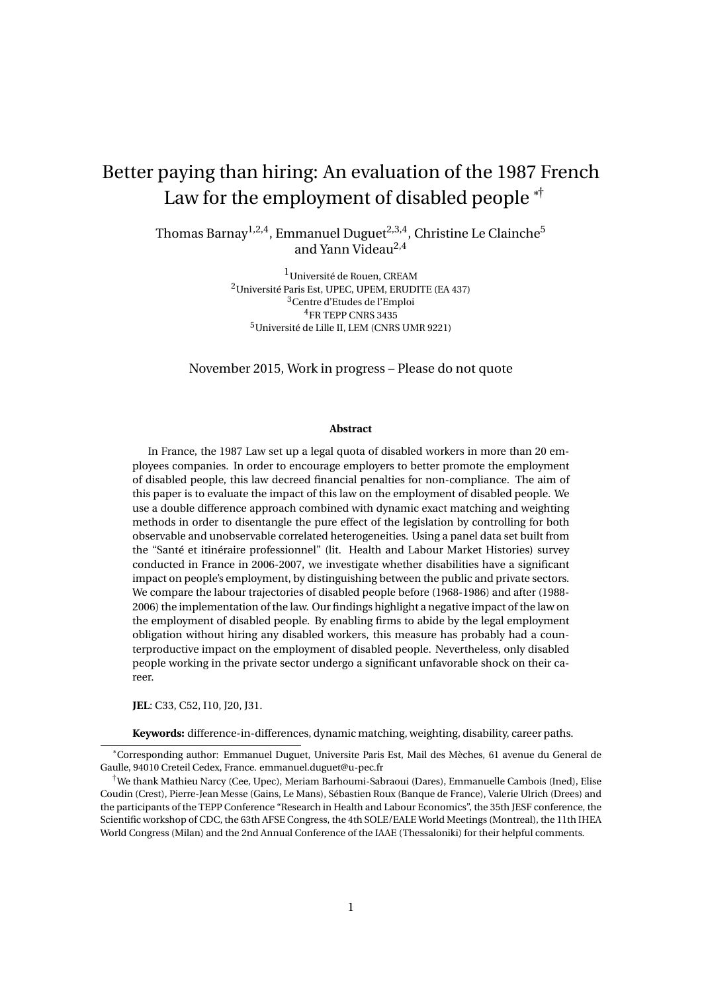# Better paying than hiring: An evaluation of the 1987 French Law for the employment of disabled people \*†

Thomas Barnay<sup>1,2,4</sup>, Emmanuel Duguet<sup>2,3,4</sup>, Christine Le Clainche<sup>5</sup> and Yann Videau<sup>2,4</sup>

> 1Université de Rouen, CREAM <sup>2</sup>Université Paris Est, UPEC, UPEM, ERUDITE (EA 437) <sup>3</sup>Centre d'Etudes de l'Emploi <sup>4</sup>FR TEPP CNRS 3435 <sup>5</sup>Université de Lille II, LEM (CNRS UMR 9221)

November 2015, Work in progress – Please do not quote

#### **Abstract**

In France, the 1987 Law set up a legal quota of disabled workers in more than 20 employees companies. In order to encourage employers to better promote the employment of disabled people, this law decreed financial penalties for non-compliance. The aim of this paper is to evaluate the impact of this law on the employment of disabled people. We use a double difference approach combined with dynamic exact matching and weighting methods in order to disentangle the pure effect of the legislation by controlling for both observable and unobservable correlated heterogeneities. Using a panel data set built from the "Santé et itinéraire professionnel" (lit. Health and Labour Market Histories) survey conducted in France in 2006-2007, we investigate whether disabilities have a significant impact on people's employment, by distinguishing between the public and private sectors. We compare the labour trajectories of disabled people before (1968-1986) and after (1988- 2006) the implementation of the law. Our findings highlight a negative impact of the law on the employment of disabled people. By enabling firms to abide by the legal employment obligation without hiring any disabled workers, this measure has probably had a counterproductive impact on the employment of disabled people. Nevertheless, only disabled people working in the private sector undergo a significant unfavorable shock on their career.

**JEL**: C33, C52, I10, J20, J31.

**Keywords:** difference-in-differences, dynamic matching, weighting, disability, career paths.

<sup>\*</sup>Corresponding author: Emmanuel Duguet, Universite Paris Est, Mail des Mèches, 61 avenue du General de Gaulle, 94010 Creteil Cedex, France. emmanuel.duguet@u-pec.fr

<sup>†</sup>We thank Mathieu Narcy (Cee, Upec), Meriam Barhoumi-Sabraoui (Dares), Emmanuelle Cambois (Ined), Elise Coudin (Crest), Pierre-Jean Messe (Gains, Le Mans), Sébastien Roux (Banque de France), Valerie Ulrich (Drees) and the participants of the TEPP Conference "Research in Health and Labour Economics", the 35th JESF conference, the Scientific workshop of CDC, the 63th AFSE Congress, the 4th SOLE/EALE World Meetings (Montreal), the 11th IHEA World Congress (Milan) and the 2nd Annual Conference of the IAAE (Thessaloniki) for their helpful comments.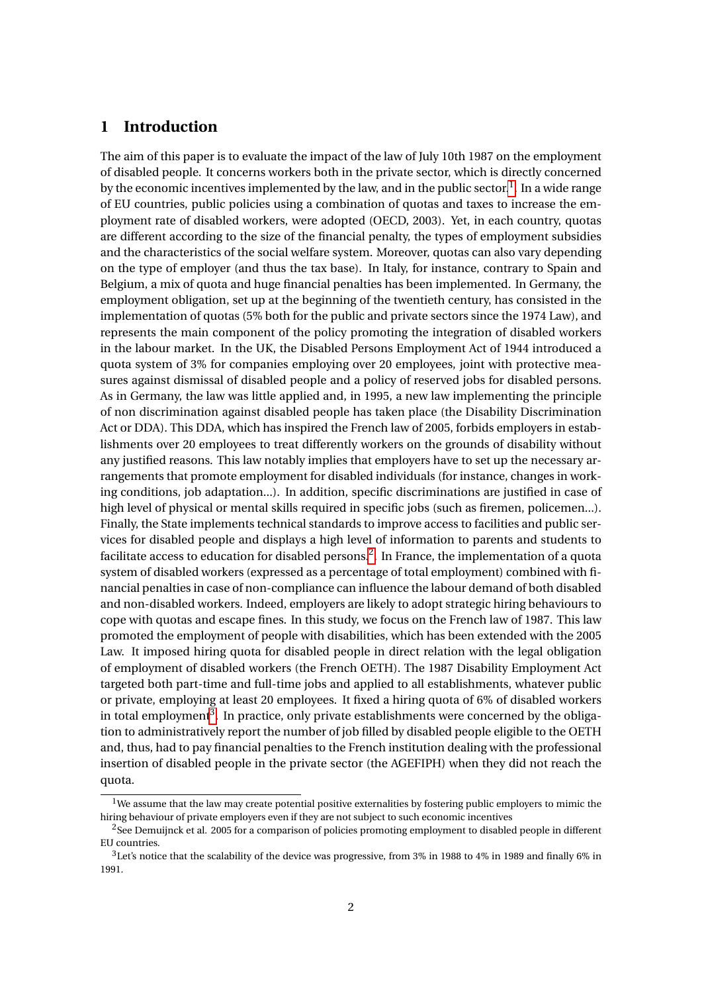### **1 Introduction**

The aim of this paper is to evaluate the impact of the law of July 10th 1987 on the employment of disabled people. It concerns workers both in the private sector, which is directly concerned by the economic incentives implemented by the law, and in the public sector.<sup>[1](#page-1-0)</sup>. In a wide range of EU countries, public policies using a combination of quotas and taxes to increase the employment rate of disabled workers, were adopted (OECD, 2003). Yet, in each country, quotas are different according to the size of the financial penalty, the types of employment subsidies and the characteristics of the social welfare system. Moreover, quotas can also vary depending on the type of employer (and thus the tax base). In Italy, for instance, contrary to Spain and Belgium, a mix of quota and huge financial penalties has been implemented. In Germany, the employment obligation, set up at the beginning of the twentieth century, has consisted in the implementation of quotas (5% both for the public and private sectors since the 1974 Law), and represents the main component of the policy promoting the integration of disabled workers in the labour market. In the UK, the Disabled Persons Employment Act of 1944 introduced a quota system of 3% for companies employing over 20 employees, joint with protective measures against dismissal of disabled people and a policy of reserved jobs for disabled persons. As in Germany, the law was little applied and, in 1995, a new law implementing the principle of non discrimination against disabled people has taken place (the Disability Discrimination Act or DDA). This DDA, which has inspired the French law of 2005, forbids employers in establishments over 20 employees to treat differently workers on the grounds of disability without any justified reasons. This law notably implies that employers have to set up the necessary arrangements that promote employment for disabled individuals (for instance, changes in working conditions, job adaptation...). In addition, specific discriminations are justified in case of high level of physical or mental skills required in specific jobs (such as firemen, policemen...). Finally, the State implements technical standards to improve access to facilities and public services for disabled people and displays a high level of information to parents and students to facilitate access to education for disabled persons. $^2.$  $^2.$  $^2.$  In France, the implementation of a quota system of disabled workers (expressed as a percentage of total employment) combined with financial penalties in case of non-compliance can influence the labour demand of both disabled and non-disabled workers. Indeed, employers are likely to adopt strategic hiring behaviours to cope with quotas and escape fines. In this study, we focus on the French law of 1987. This law promoted the employment of people with disabilities, which has been extended with the 2005 Law. It imposed hiring quota for disabled people in direct relation with the legal obligation of employment of disabled workers (the French OETH). The 1987 Disability Employment Act targeted both part-time and full-time jobs and applied to all establishments, whatever public or private, employing at least 20 employees. It fixed a hiring quota of 6% of disabled workers in total employment $^3$  $^3$ . In practice, only private establishments were concerned by the obligation to administratively report the number of job filled by disabled people eligible to the OETH and, thus, had to pay financial penalties to the French institution dealing with the professional insertion of disabled people in the private sector (the AGEFIPH) when they did not reach the quota.

<span id="page-1-0"></span> $1$ We assume that the law may create potential positive externalities by fostering public employers to mimic the hiring behaviour of private employers even if they are not subject to such economic incentives

<span id="page-1-1"></span><sup>&</sup>lt;sup>2</sup>See Demuijnck et al. 2005 for a comparison of policies promoting employment to disabled people in different EU countries.

<span id="page-1-2"></span> $3$ Let's notice that the scalability of the device was progressive, from 3% in 1988 to 4% in 1989 and finally 6% in 1991.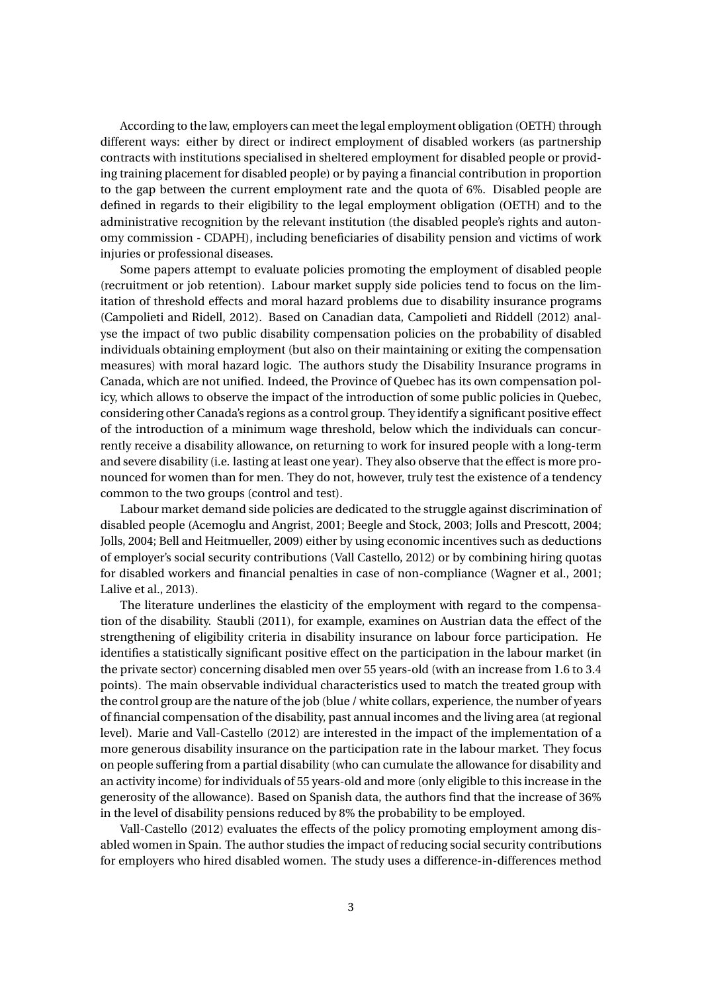According to the law, employers can meet the legal employment obligation (OETH) through different ways: either by direct or indirect employment of disabled workers (as partnership contracts with institutions specialised in sheltered employment for disabled people or providing training placement for disabled people) or by paying a financial contribution in proportion to the gap between the current employment rate and the quota of 6%. Disabled people are defined in regards to their eligibility to the legal employment obligation (OETH) and to the administrative recognition by the relevant institution (the disabled people's rights and autonomy commission - CDAPH), including beneficiaries of disability pension and victims of work injuries or professional diseases.

Some papers attempt to evaluate policies promoting the employment of disabled people (recruitment or job retention). Labour market supply side policies tend to focus on the limitation of threshold effects and moral hazard problems due to disability insurance programs (Campolieti and Ridell, 2012). Based on Canadian data, Campolieti and Riddell (2012) analyse the impact of two public disability compensation policies on the probability of disabled individuals obtaining employment (but also on their maintaining or exiting the compensation measures) with moral hazard logic. The authors study the Disability Insurance programs in Canada, which are not unified. Indeed, the Province of Quebec has its own compensation policy, which allows to observe the impact of the introduction of some public policies in Quebec, considering other Canada's regions as a control group. They identify a significant positive effect of the introduction of a minimum wage threshold, below which the individuals can concurrently receive a disability allowance, on returning to work for insured people with a long-term and severe disability (i.e. lasting at least one year). They also observe that the effect is more pronounced for women than for men. They do not, however, truly test the existence of a tendency common to the two groups (control and test).

Labour market demand side policies are dedicated to the struggle against discrimination of disabled people (Acemoglu and Angrist, 2001; Beegle and Stock, 2003; Jolls and Prescott, 2004; Jolls, 2004; Bell and Heitmueller, 2009) either by using economic incentives such as deductions of employer's social security contributions (Vall Castello, 2012) or by combining hiring quotas for disabled workers and financial penalties in case of non-compliance (Wagner et al., 2001; Lalive et al., 2013).

The literature underlines the elasticity of the employment with regard to the compensation of the disability. Staubli (2011), for example, examines on Austrian data the effect of the strengthening of eligibility criteria in disability insurance on labour force participation. He identifies a statistically significant positive effect on the participation in the labour market (in the private sector) concerning disabled men over 55 years-old (with an increase from 1.6 to 3.4 points). The main observable individual characteristics used to match the treated group with the control group are the nature of the job (blue / white collars, experience, the number of years of financial compensation of the disability, past annual incomes and the living area (at regional level). Marie and Vall-Castello (2012) are interested in the impact of the implementation of a more generous disability insurance on the participation rate in the labour market. They focus on people suffering from a partial disability (who can cumulate the allowance for disability and an activity income) for individuals of 55 years-old and more (only eligible to this increase in the generosity of the allowance). Based on Spanish data, the authors find that the increase of 36% in the level of disability pensions reduced by 8% the probability to be employed.

Vall-Castello (2012) evaluates the effects of the policy promoting employment among disabled women in Spain. The author studies the impact of reducing social security contributions for employers who hired disabled women. The study uses a difference-in-differences method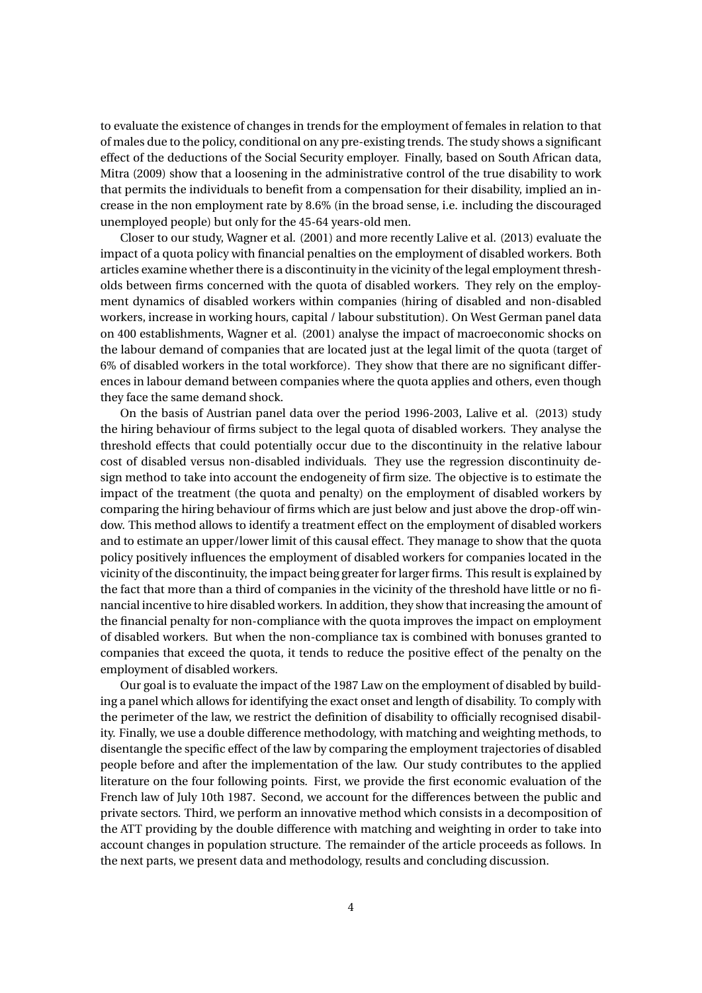to evaluate the existence of changes in trends for the employment of females in relation to that of males due to the policy, conditional on any pre-existing trends. The study shows a significant effect of the deductions of the Social Security employer. Finally, based on South African data, Mitra (2009) show that a loosening in the administrative control of the true disability to work that permits the individuals to benefit from a compensation for their disability, implied an increase in the non employment rate by 8.6% (in the broad sense, i.e. including the discouraged unemployed people) but only for the 45-64 years-old men.

Closer to our study, Wagner et al. (2001) and more recently Lalive et al. (2013) evaluate the impact of a quota policy with financial penalties on the employment of disabled workers. Both articles examine whether there is a discontinuity in the vicinity of the legal employment thresholds between firms concerned with the quota of disabled workers. They rely on the employment dynamics of disabled workers within companies (hiring of disabled and non-disabled workers, increase in working hours, capital / labour substitution). On West German panel data on 400 establishments, Wagner et al. (2001) analyse the impact of macroeconomic shocks on the labour demand of companies that are located just at the legal limit of the quota (target of 6% of disabled workers in the total workforce). They show that there are no significant differences in labour demand between companies where the quota applies and others, even though they face the same demand shock.

On the basis of Austrian panel data over the period 1996-2003, Lalive et al. (2013) study the hiring behaviour of firms subject to the legal quota of disabled workers. They analyse the threshold effects that could potentially occur due to the discontinuity in the relative labour cost of disabled versus non-disabled individuals. They use the regression discontinuity design method to take into account the endogeneity of firm size. The objective is to estimate the impact of the treatment (the quota and penalty) on the employment of disabled workers by comparing the hiring behaviour of firms which are just below and just above the drop-off window. This method allows to identify a treatment effect on the employment of disabled workers and to estimate an upper/lower limit of this causal effect. They manage to show that the quota policy positively influences the employment of disabled workers for companies located in the vicinity of the discontinuity, the impact being greater for larger firms. This result is explained by the fact that more than a third of companies in the vicinity of the threshold have little or no financial incentive to hire disabled workers. In addition, they show that increasing the amount of the financial penalty for non-compliance with the quota improves the impact on employment of disabled workers. But when the non-compliance tax is combined with bonuses granted to companies that exceed the quota, it tends to reduce the positive effect of the penalty on the employment of disabled workers.

Our goal is to evaluate the impact of the 1987 Law on the employment of disabled by building a panel which allows for identifying the exact onset and length of disability. To comply with the perimeter of the law, we restrict the definition of disability to officially recognised disability. Finally, we use a double difference methodology, with matching and weighting methods, to disentangle the specific effect of the law by comparing the employment trajectories of disabled people before and after the implementation of the law. Our study contributes to the applied literature on the four following points. First, we provide the first economic evaluation of the French law of July 10th 1987. Second, we account for the differences between the public and private sectors. Third, we perform an innovative method which consists in a decomposition of the ATT providing by the double difference with matching and weighting in order to take into account changes in population structure. The remainder of the article proceeds as follows. In the next parts, we present data and methodology, results and concluding discussion.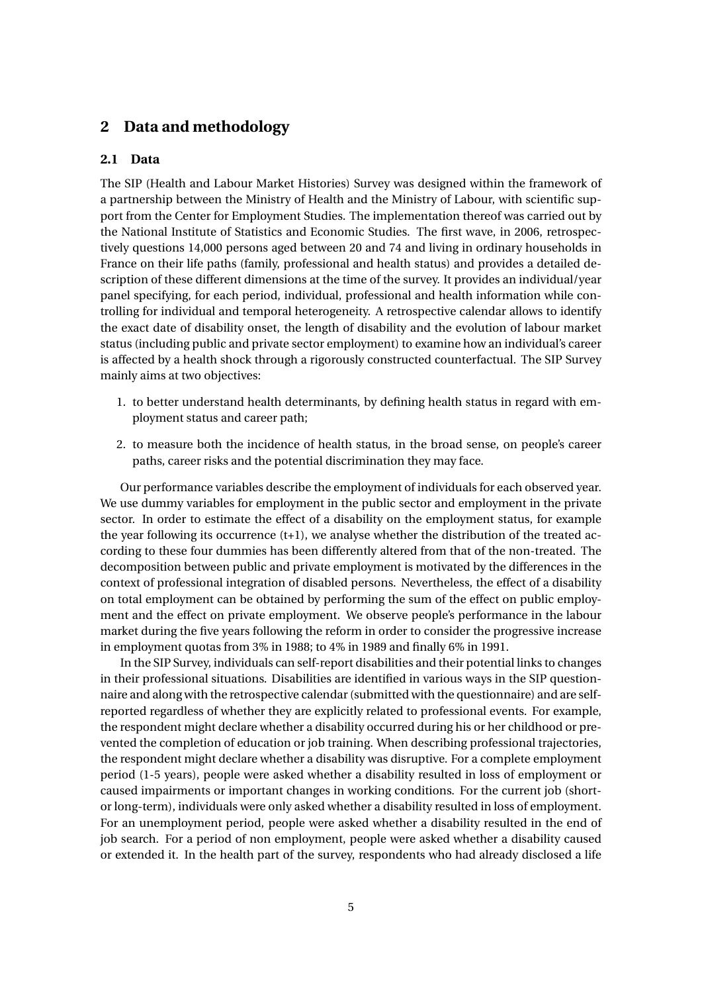### **2 Data and methodology**

#### **2.1 Data**

The SIP (Health and Labour Market Histories) Survey was designed within the framework of a partnership between the Ministry of Health and the Ministry of Labour, with scientific support from the Center for Employment Studies. The implementation thereof was carried out by the National Institute of Statistics and Economic Studies. The first wave, in 2006, retrospectively questions 14,000 persons aged between 20 and 74 and living in ordinary households in France on their life paths (family, professional and health status) and provides a detailed description of these different dimensions at the time of the survey. It provides an individual/year panel specifying, for each period, individual, professional and health information while controlling for individual and temporal heterogeneity. A retrospective calendar allows to identify the exact date of disability onset, the length of disability and the evolution of labour market status (including public and private sector employment) to examine how an individual's career is affected by a health shock through a rigorously constructed counterfactual. The SIP Survey mainly aims at two objectives:

- 1. to better understand health determinants, by defining health status in regard with employment status and career path;
- 2. to measure both the incidence of health status, in the broad sense, on people's career paths, career risks and the potential discrimination they may face.

Our performance variables describe the employment of individuals for each observed year. We use dummy variables for employment in the public sector and employment in the private sector. In order to estimate the effect of a disability on the employment status, for example the year following its occurrence  $(t+1)$ , we analyse whether the distribution of the treated according to these four dummies has been differently altered from that of the non-treated. The decomposition between public and private employment is motivated by the differences in the context of professional integration of disabled persons. Nevertheless, the effect of a disability on total employment can be obtained by performing the sum of the effect on public employment and the effect on private employment. We observe people's performance in the labour market during the five years following the reform in order to consider the progressive increase in employment quotas from 3% in 1988; to 4% in 1989 and finally 6% in 1991.

In the SIP Survey, individuals can self-report disabilities and their potential links to changes in their professional situations. Disabilities are identified in various ways in the SIP questionnaire and along with the retrospective calendar (submitted with the questionnaire) and are selfreported regardless of whether they are explicitly related to professional events. For example, the respondent might declare whether a disability occurred during his or her childhood or prevented the completion of education or job training. When describing professional trajectories, the respondent might declare whether a disability was disruptive. For a complete employment period (1-5 years), people were asked whether a disability resulted in loss of employment or caused impairments or important changes in working conditions. For the current job (shortor long-term), individuals were only asked whether a disability resulted in loss of employment. For an unemployment period, people were asked whether a disability resulted in the end of job search. For a period of non employment, people were asked whether a disability caused or extended it. In the health part of the survey, respondents who had already disclosed a life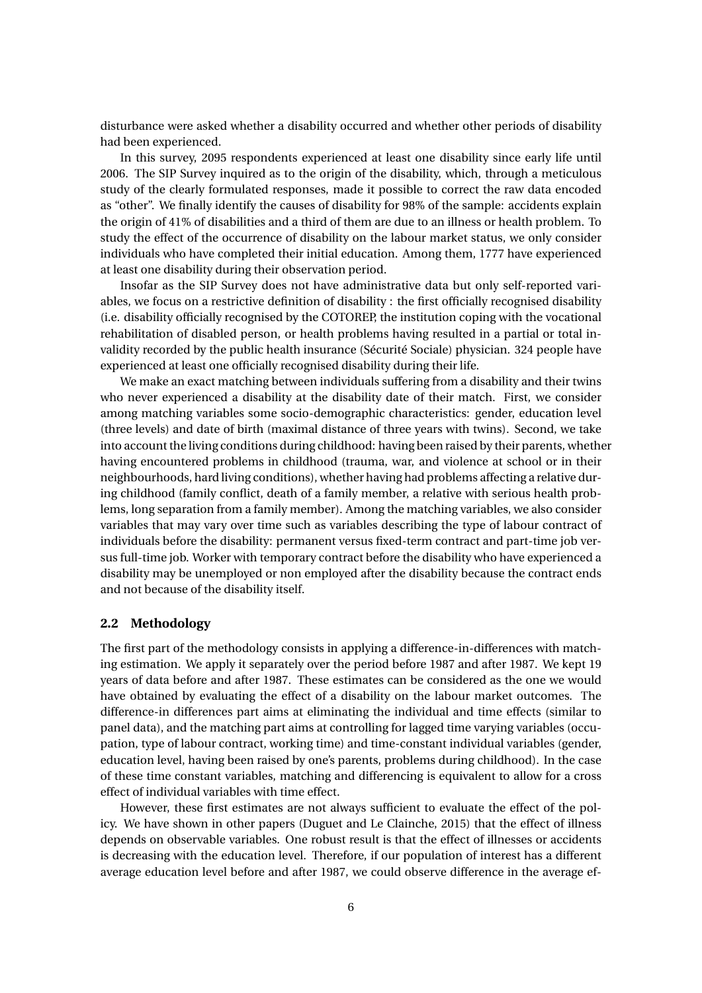disturbance were asked whether a disability occurred and whether other periods of disability had been experienced.

In this survey, 2095 respondents experienced at least one disability since early life until 2006. The SIP Survey inquired as to the origin of the disability, which, through a meticulous study of the clearly formulated responses, made it possible to correct the raw data encoded as "other". We finally identify the causes of disability for 98% of the sample: accidents explain the origin of 41% of disabilities and a third of them are due to an illness or health problem. To study the effect of the occurrence of disability on the labour market status, we only consider individuals who have completed their initial education. Among them, 1777 have experienced at least one disability during their observation period.

Insofar as the SIP Survey does not have administrative data but only self-reported variables, we focus on a restrictive definition of disability : the first officially recognised disability (i.e. disability officially recognised by the COTOREP, the institution coping with the vocational rehabilitation of disabled person, or health problems having resulted in a partial or total invalidity recorded by the public health insurance (Sécurité Sociale) physician. 324 people have experienced at least one officially recognised disability during their life.

We make an exact matching between individuals suffering from a disability and their twins who never experienced a disability at the disability date of their match. First, we consider among matching variables some socio-demographic characteristics: gender, education level (three levels) and date of birth (maximal distance of three years with twins). Second, we take into account the living conditions during childhood: having been raised by their parents, whether having encountered problems in childhood (trauma, war, and violence at school or in their neighbourhoods, hard living conditions), whether having had problems affecting a relative during childhood (family conflict, death of a family member, a relative with serious health problems, long separation from a family member). Among the matching variables, we also consider variables that may vary over time such as variables describing the type of labour contract of individuals before the disability: permanent versus fixed-term contract and part-time job versus full-time job. Worker with temporary contract before the disability who have experienced a disability may be unemployed or non employed after the disability because the contract ends and not because of the disability itself.

#### **2.2 Methodology**

The first part of the methodology consists in applying a difference-in-differences with matching estimation. We apply it separately over the period before 1987 and after 1987. We kept 19 years of data before and after 1987. These estimates can be considered as the one we would have obtained by evaluating the effect of a disability on the labour market outcomes. The difference-in differences part aims at eliminating the individual and time effects (similar to panel data), and the matching part aims at controlling for lagged time varying variables (occupation, type of labour contract, working time) and time-constant individual variables (gender, education level, having been raised by one's parents, problems during childhood). In the case of these time constant variables, matching and differencing is equivalent to allow for a cross effect of individual variables with time effect.

However, these first estimates are not always sufficient to evaluate the effect of the policy. We have shown in other papers (Duguet and Le Clainche, 2015) that the effect of illness depends on observable variables. One robust result is that the effect of illnesses or accidents is decreasing with the education level. Therefore, if our population of interest has a different average education level before and after 1987, we could observe difference in the average ef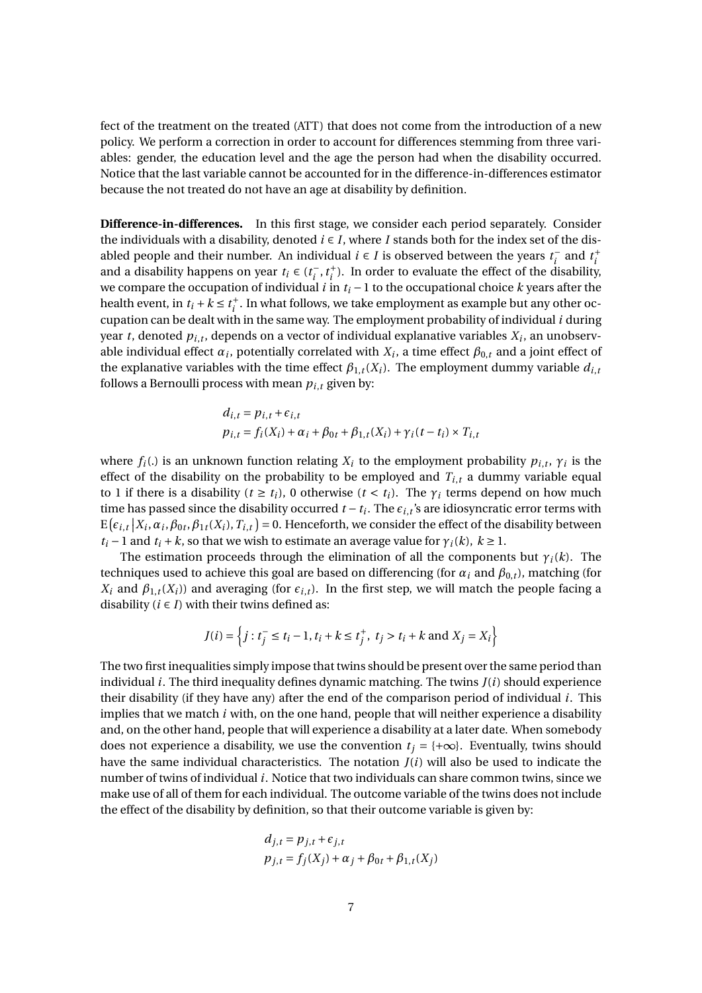fect of the treatment on the treated (ATT) that does not come from the introduction of a new policy. We perform a correction in order to account for differences stemming from three variables: gender, the education level and the age the person had when the disability occurred. Notice that the last variable cannot be accounted for in the difference-in-differences estimator because the not treated do not have an age at disability by definition.

**Difference-in-differences.** In this first stage, we consider each period separately. Consider the individuals with a disability, denoted  $i \in I$ , where *I* stands both for the index set of the disabled people and their number. An individual  $i \in I$  is observed between the years  $t_i^$  $t_i^-$  and  $t_i^+$ *i* and a disability happens on year  $t_i \in (t_i^-)$  $\frac{1}{i}$ ,  $t_i^+$  $i_i^{\dagger}$ ). In order to evaluate the effect of the disability, we compare the occupation of individual *i* in  $t_i - 1$  to the occupational choice *k* years after the health event, in  $t_i + k \leq t_i^+$  $i<sub>i</sub><sup>+</sup>$ . In what follows, we take employment as example but any other occupation can be dealt with in the same way. The employment probability of individual *i* during year *t*, denoted  $p_{i,t}$ , depends on a vector of individual explanative variables  $X_i$ , an unobservable individual effect  $\alpha_i$ , potentially correlated with  $X_i$ , a time effect  $\beta_{0,t}$  and a joint effect of the explanative variables with the time effect  $\beta_{1,t}(X_i)$ . The employment dummy variable  $d_{i,t}$ follows a Bernoulli process with mean  $p_{i,t}$  given by:

$$
d_{i,t} = p_{i,t} + \epsilon_{i,t}
$$
  
\n
$$
p_{i,t} = f_i(X_i) + \alpha_i + \beta_{0t} + \beta_{1,t}(X_i) + \gamma_i(t - t_i) \times T_{i,t}
$$

where  $f_i(.)$  is an unknown function relating  $X_i$  to the employment probability  $p_{i,t}$ ,  $\gamma_i$  is the effect of the disability on the probability to be employed and  $T_{i,t}$  a dummy variable equal to 1 if there is a disability ( $t \geq t_i$ ), 0 otherwise ( $t < t_i$ ). The  $\gamma_i$  terms depend on how much time has passed since the disability occurred  $t - t_i$ . The  $\epsilon_{i,t}$ 's are idiosyncratic error terms with  $E\left(\epsilon_{i,t} | X_i, \alpha_i, \beta_{0t}, \beta_{1t}(X_i), T_{i,t}\right) = 0.$  Henceforth, we consider the effect of the disability between *t*<sup>*i*</sup> − 1 and *t*<sup>*i*</sup> + *k*, so that we wish to estimate an average value for  $\gamma$ <sup>*i*</sup>(*k*), *k* ≥ 1.

The estimation proceeds through the elimination of all the components but  $\gamma_i(k)$ . The techniques used to achieve this goal are based on differencing (for  $\alpha_i$  and  $\beta_{0,t}$ ), matching (for *X*<sup>*i*</sup> and  $\beta_{1,t}(X_i)$  and averaging (for  $\epsilon_{i,t}$ ). In the first step, we will match the people facing a disability ( $i \in I$ ) with their twins defined as:

$$
J(i) = \left\{ j : t_j^- \le t_i - 1, t_i + k \le t_j^+, t_j > t_i + k \text{ and } X_j = X_i \right\}
$$

The two first inequalities simply impose that twins should be present over the same period than individual  $i$ . The third inequality defines dynamic matching. The twins  $J(i)$  should experience their disability (if they have any) after the end of the comparison period of individual *i*. This implies that we match *i* with, on the one hand, people that will neither experience a disability and, on the other hand, people that will experience a disability at a later date. When somebody does not experience a disability, we use the convention  $t_i = \{+\infty\}$ . Eventually, twins should have the same individual characteristics. The notation  $J(i)$  will also be used to indicate the number of twins of individual *i*. Notice that two individuals can share common twins, since we make use of all of them for each individual. The outcome variable of the twins does not include the effect of the disability by definition, so that their outcome variable is given by:

$$
d_{j,t} = p_{j,t} + \epsilon_{j,t}
$$
  

$$
p_{j,t} = f_j(X_j) + \alpha_j + \beta_{0t} + \beta_{1,t}(X_j)
$$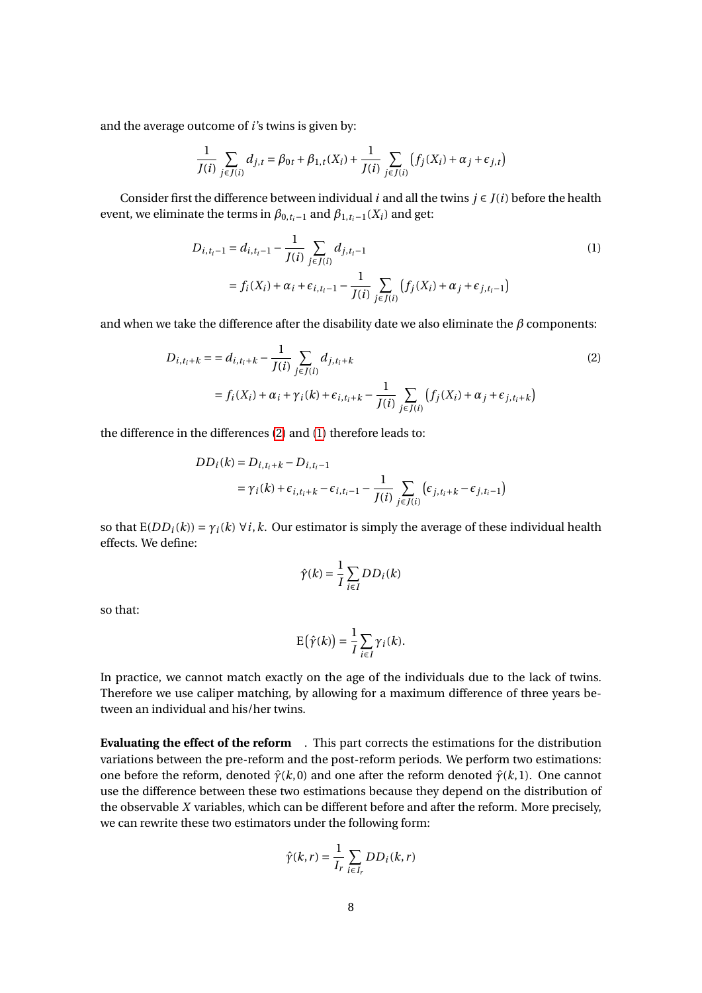and the average outcome of *i*'s twins is given by:

$$
\frac{1}{J(i)} \sum_{j \in J(i)} d_{j,t} = \beta_{0t} + \beta_{1,t}(X_i) + \frac{1}{J(i)} \sum_{j \in J(i)} (f_j(X_i) + \alpha_j + \epsilon_{j,t})
$$

Consider first the difference between individual *i* and all the twins  $j \in J(i)$  before the health event, we eliminate the terms in  $\beta_{0,t_i-1}$  and  $\beta_{1,t_i-1}(X_i)$  and get:

<span id="page-7-1"></span>
$$
D_{i,t_i-1} = d_{i,t_i-1} - \frac{1}{J(i)} \sum_{j \in J(i)} d_{j,t_i-1}
$$
  
=  $f_i(X_i) + \alpha_i + \epsilon_{i,t_i-1} - \frac{1}{J(i)} \sum_{j \in J(i)} (f_j(X_i) + \alpha_j + \epsilon_{j,t_i-1})$  (1)

and when we take the difference after the disability date we also eliminate the  $\beta$  components:

$$
D_{i,t_i+k} = d_{i,t_i+k} - \frac{1}{J(i)} \sum_{j \in J(i)} d_{j,t_i+k}
$$
  
=  $f_i(X_i) + \alpha_i + \gamma_i(k) + \epsilon_{i,t_i+k} - \frac{1}{J(i)} \sum_{j \in J(i)} (f_j(X_i) + \alpha_j + \epsilon_{j,t_i+k})$  (2)

the difference in the differences [\(2\)](#page-7-0) and [\(1\)](#page-7-1) therefore leads to:

$$
DD_i(k) = D_{i,t_i+k} - D_{i,t_i-1}
$$
  
=  $\gamma_i(k) + \epsilon_{i,t_i+k} - \epsilon_{i,t_i-1} - \frac{1}{J(i)} \sum_{j \in J(i)} (\epsilon_{j,t_i+k} - \epsilon_{j,t_i-1})$ 

so that  $E(DD_i(k)) = \gamma_i(k) \ \forall i, k$ . Our estimator is simply the average of these individual health effects. We define:

<span id="page-7-0"></span>
$$
\hat{\gamma}(k) = \frac{1}{I} \sum_{i \in I} DD_i(k)
$$

so that:

$$
E(\hat{\gamma}(k)) = \frac{1}{I} \sum_{i \in I} \gamma_i(k).
$$

In practice, we cannot match exactly on the age of the individuals due to the lack of twins. Therefore we use caliper matching, by allowing for a maximum difference of three years between an individual and his/her twins.

**Evaluating the effect of the reform** . This part corrects the estimations for the distribution variations between the pre-reform and the post-reform periods. We perform two estimations: one before the reform, denoted *γ*ˆ(*k*, 0) and one after the reform denoted *γ*ˆ(*k*, 1). One cannot use the difference between these two estimations because they depend on the distribution of the observable *X* variables, which can be different before and after the reform. More precisely, we can rewrite these two estimators under the following form:

$$
\hat{\gamma}(k,r) = \frac{1}{I_r} \sum_{i \in I_r} DD_i(k,r)
$$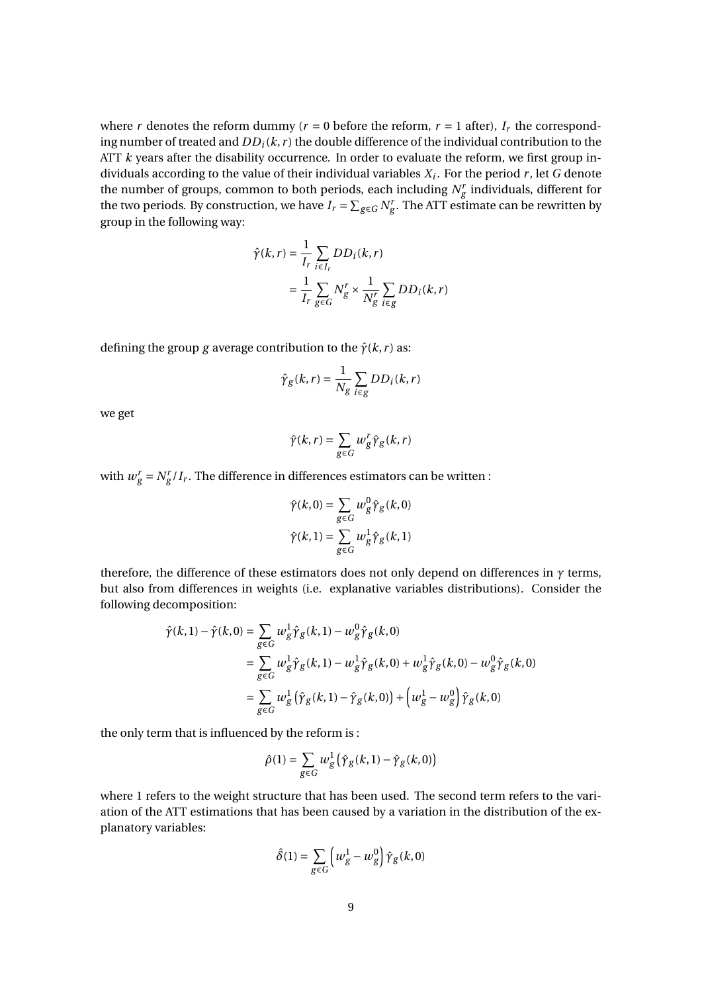where *r* denotes the reform dummy ( $r = 0$  before the reform,  $r = 1$  after),  $I_r$  the corresponding number of treated and  $DD_i(k, r)$  the double difference of the individual contribution to the ATT *k* years after the disability occurrence. In order to evaluate the reform, we first group individuals according to the value of their individual variables *X<sup>i</sup>* . For the period *r* , let *G* denote the number of groups, common to both periods, each including  $N_g^r$  individuals, different for the two periods. By construction, we have  $I_r = \sum_{g \in G} N_g^r$ . The ATT estimate can be rewritten by group in the following way:

$$
\hat{\gamma}(k,r) = \frac{1}{I_r} \sum_{i \in I_r} DD_i(k,r)
$$

$$
= \frac{1}{I_r} \sum_{g \in G} N_g^r \times \frac{1}{N_g^r} \sum_{i \in g} DD_i(k,r)
$$

defining the group *g* average contribution to the  $\hat{\gamma}(k, r)$  as:

$$
\hat{\gamma}_g(k,r) = \frac{1}{N_g} \sum_{i \in g} DD_i(k,r)
$$

we get

$$
\hat{\gamma}(k,r) = \sum_{g \in G} w_g^r \hat{\gamma}_g(k,r)
$$

with  $w_g^r = N_g^r / I_r$ . The difference in differences estimators can be written :

$$
\begin{aligned} \hat{\gamma}(k,0) &= \sum_{g \in G} w^0_g \hat{\gamma}_g(k,0) \\ \hat{\gamma}(k,1) &= \sum_{g \in G} w^1_g \hat{\gamma}_g(k,1) \end{aligned}
$$

therefore, the difference of these estimators does not only depend on differences in  $\gamma$  terms, but also from differences in weights (i.e. explanative variables distributions). Consider the following decomposition:

$$
\begin{split} \hat{\gamma}(k,1) - \hat{\gamma}(k,0) &= \sum_{g \in G} w_g^1 \hat{\gamma}_g(k,1) - w_g^0 \hat{\gamma}_g(k,0) \\ &= \sum_{g \in G} w_g^1 \hat{\gamma}_g(k,1) - w_g^1 \hat{\gamma}_g(k,0) + w_g^1 \hat{\gamma}_g(k,0) - w_g^0 \hat{\gamma}_g(k,0) \\ &= \sum_{g \in G} w_g^1 \left( \hat{\gamma}_g(k,1) - \hat{\gamma}_g(k,0) \right) + \left( w_g^1 - w_g^0 \right) \hat{\gamma}_g(k,0) \end{split}
$$

the only term that is influenced by the reform is :

$$
\hat{\rho}(1) = \sum_{g \in G} w_g^1 \left( \hat{\gamma}_g(k, 1) - \hat{\gamma}_g(k, 0) \right)
$$

where 1 refers to the weight structure that has been used. The second term refers to the variation of the ATT estimations that has been caused by a variation in the distribution of the explanatory variables:

$$
\hat{\delta}(1) = \sum_{g \in G} \left( w_g^1 - w_g^0 \right) \hat{\gamma}_g(k, 0)
$$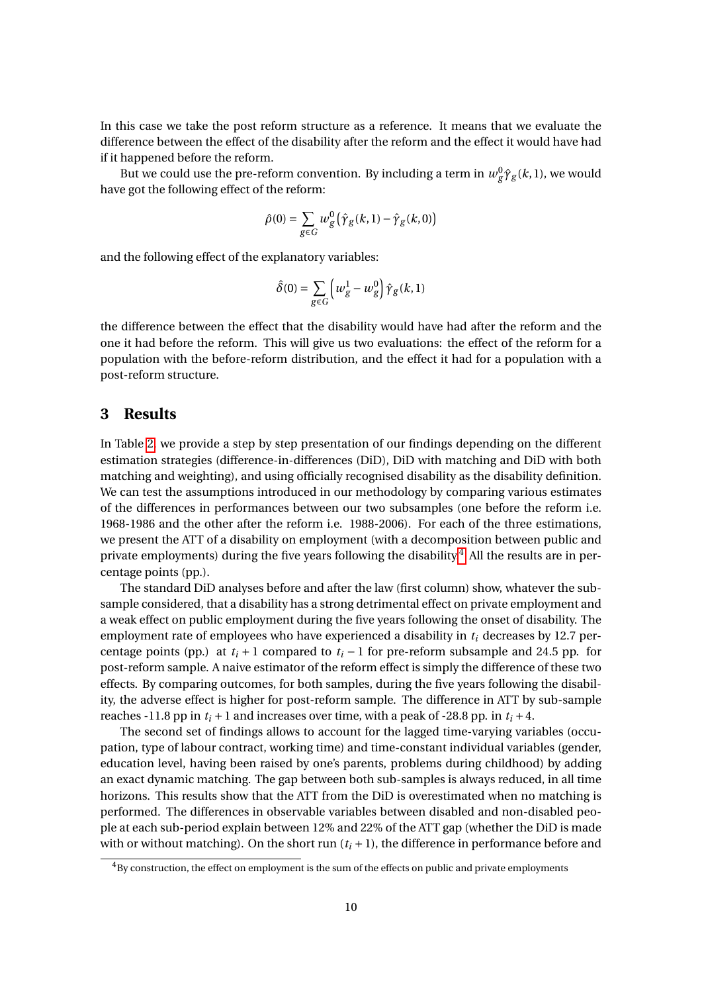In this case we take the post reform structure as a reference. It means that we evaluate the difference between the effect of the disability after the reform and the effect it would have had if it happened before the reform.

But we could use the pre-reform convention. By including a term in  $w_{\overline{g}}^0 \hat{\gamma}_g(k,1)$ , we would have got the following effect of the reform:

$$
\hat{\rho}(0) = \sum_{g \in G} w^0_g \left( \hat{\gamma}_g(k,1) - \hat{\gamma}_g(k,0) \right)
$$

and the following effect of the explanatory variables:

$$
\hat{\delta}(0) = \sum_{g \in G} \left( w_g^1 - w_g^0 \right) \hat{\gamma}_g(k, 1)
$$

the difference between the effect that the disability would have had after the reform and the one it had before the reform. This will give us two evaluations: the effect of the reform for a population with the before-reform distribution, and the effect it had for a population with a post-reform structure.

#### **3 Results**

In Table [2,](#page-15-0) we provide a step by step presentation of our findings depending on the different estimation strategies (difference-in-differences (DiD), DiD with matching and DiD with both matching and weighting), and using officially recognised disability as the disability definition. We can test the assumptions introduced in our methodology by comparing various estimates of the differences in performances between our two subsamples (one before the reform i.e. 1968-1986 and the other after the reform i.e. 1988-2006). For each of the three estimations, we present the ATT of a disability on employment (with a decomposition between public and private employments) during the five years following the disability.<sup>[4](#page-9-0)</sup> All the results are in percentage points (pp.).

The standard DiD analyses before and after the law (first column) show, whatever the subsample considered, that a disability has a strong detrimental effect on private employment and a weak effect on public employment during the five years following the onset of disability. The employment rate of employees who have experienced a disability in *t<sup>i</sup>* decreases by 12.7 percentage points (pp.) at  $t_i + 1$  compared to  $t_i - 1$  for pre-reform subsample and 24.5 pp. for post-reform sample. A naive estimator of the reform effect is simply the difference of these two effects. By comparing outcomes, for both samples, during the five years following the disability, the adverse effect is higher for post-reform sample. The difference in ATT by sub-sample reaches -11.8 pp in  $t_i$  +1 and increases over time, with a peak of -28.8 pp. in  $t_i$  +4.

The second set of findings allows to account for the lagged time-varying variables (occupation, type of labour contract, working time) and time-constant individual variables (gender, education level, having been raised by one's parents, problems during childhood) by adding an exact dynamic matching. The gap between both sub-samples is always reduced, in all time horizons. This results show that the ATT from the DiD is overestimated when no matching is performed. The differences in observable variables between disabled and non-disabled people at each sub-period explain between 12% and 22% of the ATT gap (whether the DiD is made with or without matching). On the short run  $(t<sub>i</sub> + 1)$ , the difference in performance before and

<span id="page-9-0"></span> $4By$  construction, the effect on employment is the sum of the effects on public and private employments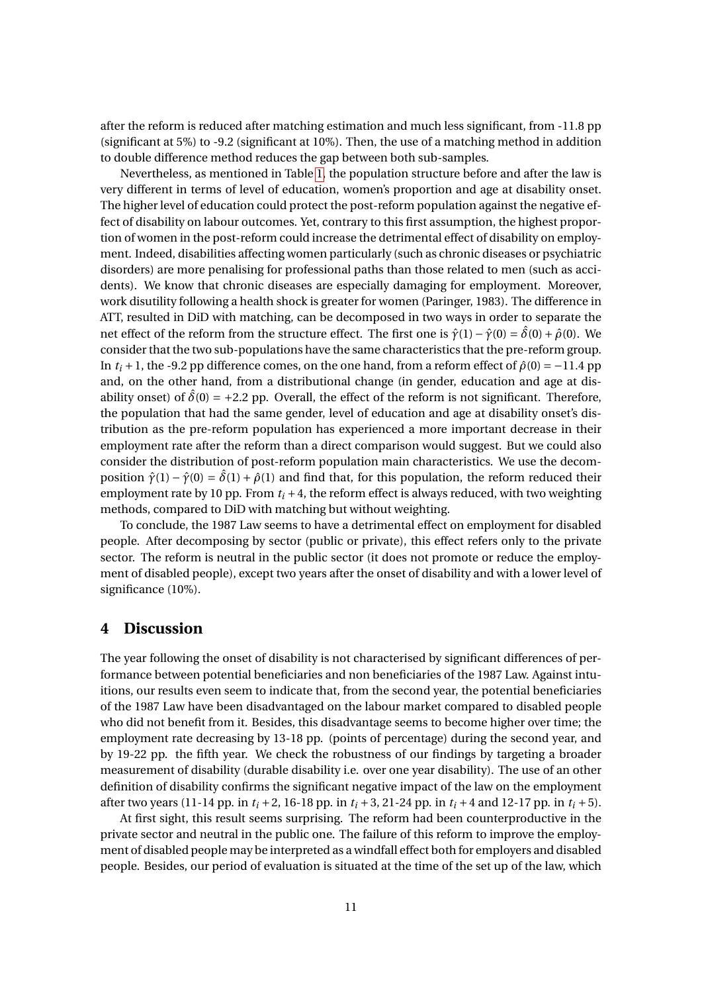after the reform is reduced after matching estimation and much less significant, from -11.8 pp (significant at 5%) to -9.2 (significant at 10%). Then, the use of a matching method in addition to double difference method reduces the gap between both sub-samples.

Nevertheless, as mentioned in Table [1,](#page-14-0) the population structure before and after the law is very different in terms of level of education, women's proportion and age at disability onset. The higher level of education could protect the post-reform population against the negative effect of disability on labour outcomes. Yet, contrary to this first assumption, the highest proportion of women in the post-reform could increase the detrimental effect of disability on employment. Indeed, disabilities affecting women particularly (such as chronic diseases or psychiatric disorders) are more penalising for professional paths than those related to men (such as accidents). We know that chronic diseases are especially damaging for employment. Moreover, work disutility following a health shock is greater for women (Paringer, 1983). The difference in ATT, resulted in DiD with matching, can be decomposed in two ways in order to separate the net effect of the reform from the structure effect. The first one is  $\hat{\gamma}(1) - \hat{\gamma}(0) = \hat{\delta}(0) + \hat{\rho}(0)$ . We consider that the two sub-populations have the same characteristics that the pre-reform group. In  $t_i$  + 1, the -9.2 pp difference comes, on the one hand, from a reform effect of  $\hat{\rho}(0) = -11.4$  pp and, on the other hand, from a distributional change (in gender, education and age at disability onset) of  $\hat{\delta}(0) = +2.2$  pp. Overall, the effect of the reform is not significant. Therefore, the population that had the same gender, level of education and age at disability onset's distribution as the pre-reform population has experienced a more important decrease in their employment rate after the reform than a direct comparison would suggest. But we could also consider the distribution of post-reform population main characteristics. We use the decomposition  $\hat{\gamma}(1) - \hat{\gamma}(0) = \hat{\delta}(1) + \hat{\rho}(1)$  and find that, for this population, the reform reduced their employment rate by 10 pp. From  $t_i + 4$ , the reform effect is always reduced, with two weighting methods, compared to DiD with matching but without weighting.

To conclude, the 1987 Law seems to have a detrimental effect on employment for disabled people. After decomposing by sector (public or private), this effect refers only to the private sector. The reform is neutral in the public sector (it does not promote or reduce the employment of disabled people), except two years after the onset of disability and with a lower level of significance (10%).

#### **4 Discussion**

The year following the onset of disability is not characterised by significant differences of performance between potential beneficiaries and non beneficiaries of the 1987 Law. Against intuitions, our results even seem to indicate that, from the second year, the potential beneficiaries of the 1987 Law have been disadvantaged on the labour market compared to disabled people who did not benefit from it. Besides, this disadvantage seems to become higher over time; the employment rate decreasing by 13-18 pp. (points of percentage) during the second year, and by 19-22 pp. the fifth year. We check the robustness of our findings by targeting a broader measurement of disability (durable disability i.e. over one year disability). The use of an other definition of disability confirms the significant negative impact of the law on the employment after two years (11-14 pp. in  $t_i$  +2, 16-18 pp. in  $t_i$  +3, 21-24 pp. in  $t_i$  +4 and 12-17 pp. in  $t_i$  +5).

At first sight, this result seems surprising. The reform had been counterproductive in the private sector and neutral in the public one. The failure of this reform to improve the employment of disabled people may be interpreted as a windfall effect both for employers and disabled people. Besides, our period of evaluation is situated at the time of the set up of the law, which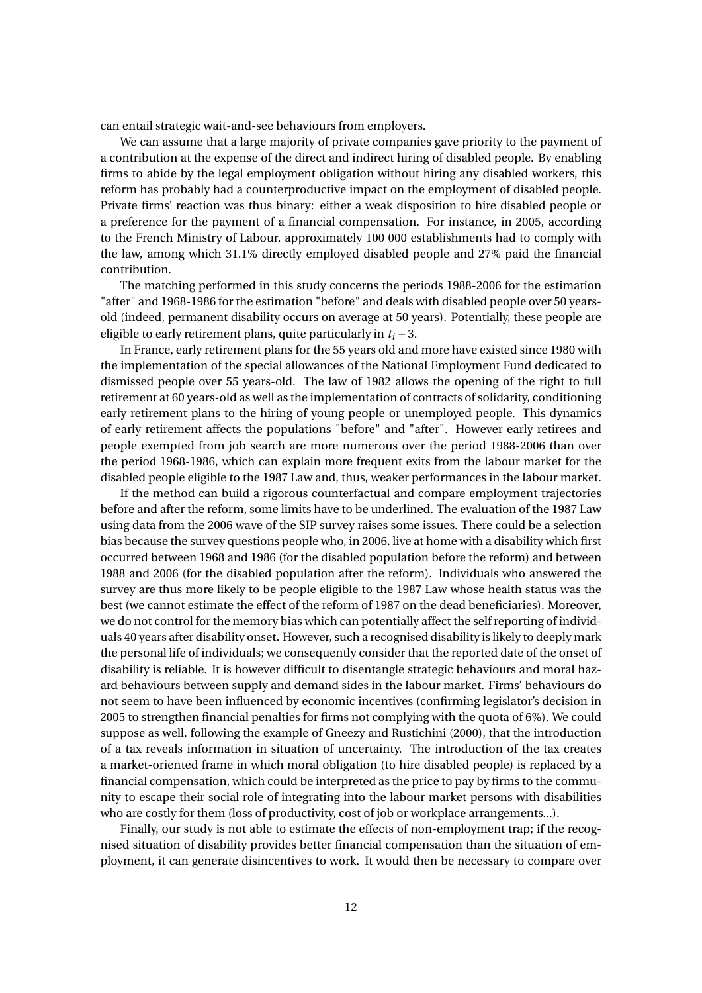can entail strategic wait-and-see behaviours from employers.

We can assume that a large majority of private companies gave priority to the payment of a contribution at the expense of the direct and indirect hiring of disabled people. By enabling firms to abide by the legal employment obligation without hiring any disabled workers, this reform has probably had a counterproductive impact on the employment of disabled people. Private firms' reaction was thus binary: either a weak disposition to hire disabled people or a preference for the payment of a financial compensation. For instance, in 2005, according to the French Ministry of Labour, approximately 100 000 establishments had to comply with the law, among which 31.1% directly employed disabled people and 27% paid the financial contribution.

The matching performed in this study concerns the periods 1988-2006 for the estimation "after" and 1968-1986 for the estimation "before" and deals with disabled people over 50 yearsold (indeed, permanent disability occurs on average at 50 years). Potentially, these people are eligible to early retirement plans, quite particularly in  $t_i + 3$ .

In France, early retirement plans for the 55 years old and more have existed since 1980 with the implementation of the special allowances of the National Employment Fund dedicated to dismissed people over 55 years-old. The law of 1982 allows the opening of the right to full retirement at 60 years-old as well as the implementation of contracts of solidarity, conditioning early retirement plans to the hiring of young people or unemployed people. This dynamics of early retirement affects the populations "before" and "after". However early retirees and people exempted from job search are more numerous over the period 1988-2006 than over the period 1968-1986, which can explain more frequent exits from the labour market for the disabled people eligible to the 1987 Law and, thus, weaker performances in the labour market.

If the method can build a rigorous counterfactual and compare employment trajectories before and after the reform, some limits have to be underlined. The evaluation of the 1987 Law using data from the 2006 wave of the SIP survey raises some issues. There could be a selection bias because the survey questions people who, in 2006, live at home with a disability which first occurred between 1968 and 1986 (for the disabled population before the reform) and between 1988 and 2006 (for the disabled population after the reform). Individuals who answered the survey are thus more likely to be people eligible to the 1987 Law whose health status was the best (we cannot estimate the effect of the reform of 1987 on the dead beneficiaries). Moreover, we do not control for the memory bias which can potentially affect the self reporting of individuals 40 years after disability onset. However, such a recognised disability is likely to deeply mark the personal life of individuals; we consequently consider that the reported date of the onset of disability is reliable. It is however difficult to disentangle strategic behaviours and moral hazard behaviours between supply and demand sides in the labour market. Firms' behaviours do not seem to have been influenced by economic incentives (confirming legislator's decision in 2005 to strengthen financial penalties for firms not complying with the quota of 6%). We could suppose as well, following the example of Gneezy and Rustichini (2000), that the introduction of a tax reveals information in situation of uncertainty. The introduction of the tax creates a market-oriented frame in which moral obligation (to hire disabled people) is replaced by a financial compensation, which could be interpreted as the price to pay by firms to the community to escape their social role of integrating into the labour market persons with disabilities who are costly for them (loss of productivity, cost of job or workplace arrangements...).

Finally, our study is not able to estimate the effects of non-employment trap; if the recognised situation of disability provides better financial compensation than the situation of employment, it can generate disincentives to work. It would then be necessary to compare over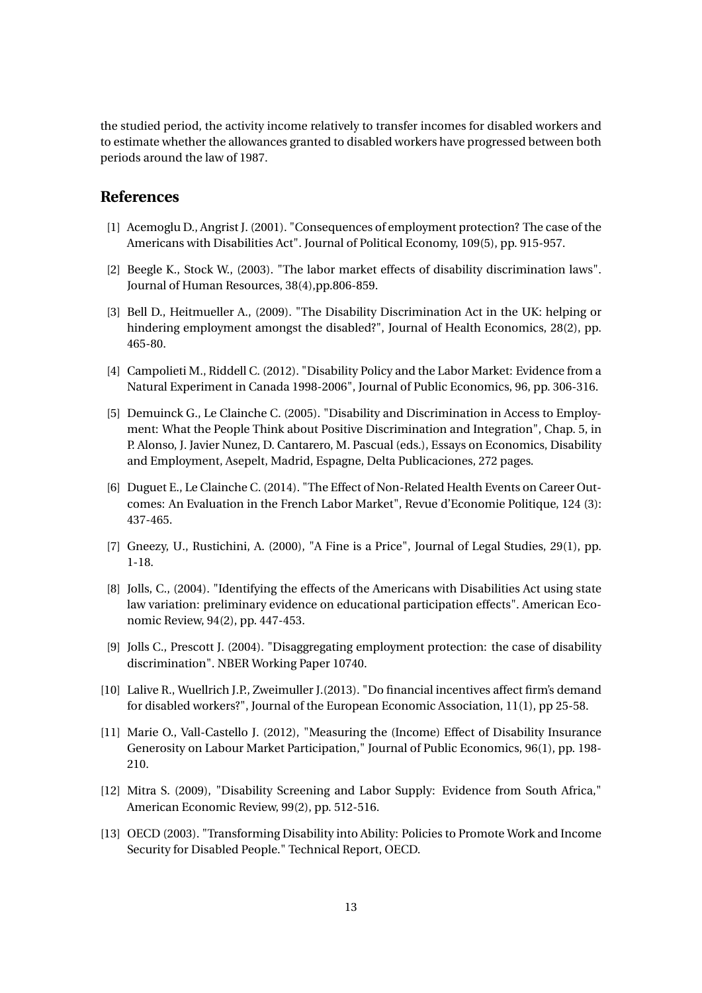the studied period, the activity income relatively to transfer incomes for disabled workers and to estimate whether the allowances granted to disabled workers have progressed between both periods around the law of 1987.

#### **References**

- [1] Acemoglu D., Angrist J. (2001). "Consequences of employment protection? The case of the Americans with Disabilities Act". Journal of Political Economy, 109(5), pp. 915-957.
- [2] Beegle K., Stock W., (2003). "The labor market effects of disability discrimination laws". Journal of Human Resources, 38(4),pp.806-859.
- [3] Bell D., Heitmueller A., (2009). "The Disability Discrimination Act in the UK: helping or hindering employment amongst the disabled?", Journal of Health Economics, 28(2), pp. 465-80.
- [4] Campolieti M., Riddell C. (2012). "Disability Policy and the Labor Market: Evidence from a Natural Experiment in Canada 1998-2006", Journal of Public Economics, 96, pp. 306-316.
- [5] Demuinck G., Le Clainche C. (2005). "Disability and Discrimination in Access to Employment: What the People Think about Positive Discrimination and Integration", Chap. 5, in P. Alonso, J. Javier Nunez, D. Cantarero, M. Pascual (eds.), Essays on Economics, Disability and Employment, Asepelt, Madrid, Espagne, Delta Publicaciones, 272 pages.
- [6] Duguet E., Le Clainche C. (2014). "The Effect of Non-Related Health Events on Career Outcomes: An Evaluation in the French Labor Market", Revue d'Economie Politique, 124 (3): 437-465.
- [7] Gneezy, U., Rustichini, A. (2000), "A Fine is a Price", Journal of Legal Studies, 29(1), pp. 1-18.
- [8] Jolls, C., (2004). "Identifying the effects of the Americans with Disabilities Act using state law variation: preliminary evidence on educational participation effects". American Economic Review, 94(2), pp. 447-453.
- [9] Jolls C., Prescott J. (2004). "Disaggregating employment protection: the case of disability discrimination". NBER Working Paper 10740.
- [10] Lalive R., Wuellrich J.P., Zweimuller J.(2013). "Do financial incentives affect firm's demand for disabled workers?", Journal of the European Economic Association, 11(1), pp 25-58.
- [11] Marie O., Vall-Castello J. (2012), "Measuring the (Income) Effect of Disability Insurance Generosity on Labour Market Participation," Journal of Public Economics, 96(1), pp. 198- 210.
- [12] Mitra S. (2009), "Disability Screening and Labor Supply: Evidence from South Africa," American Economic Review, 99(2), pp. 512-516.
- [13] OECD (2003). "Transforming Disability into Ability: Policies to Promote Work and Income Security for Disabled People." Technical Report, OECD.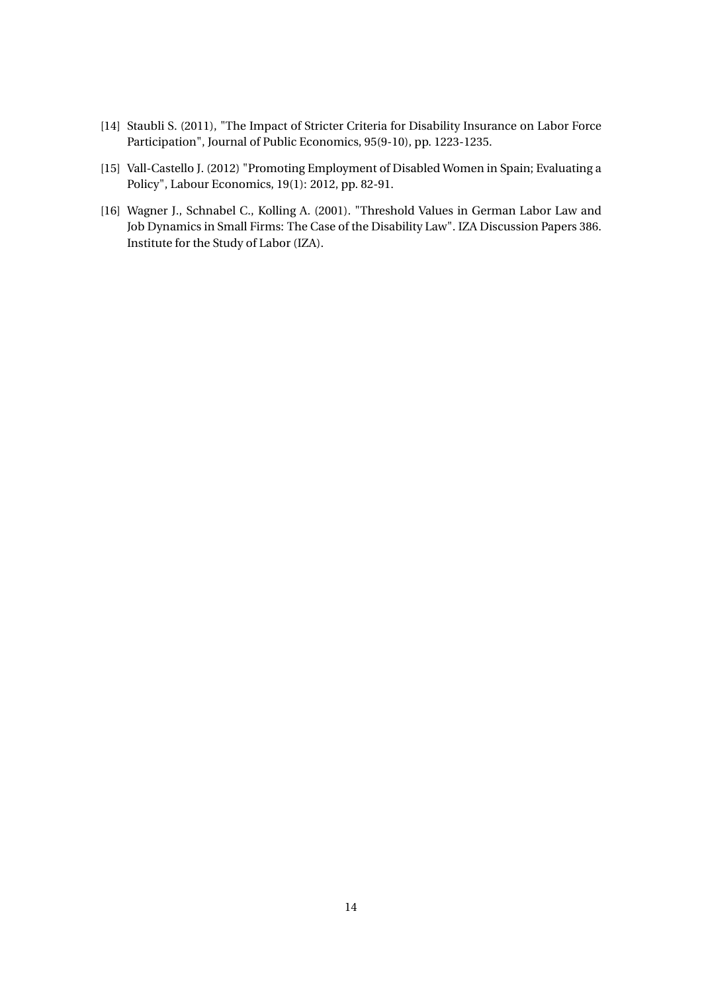- [14] Staubli S. (2011), "The Impact of Stricter Criteria for Disability Insurance on Labor Force Participation", Journal of Public Economics, 95(9-10), pp. 1223-1235.
- [15] Vall-Castello J. (2012) "Promoting Employment of Disabled Women in Spain; Evaluating a Policy", Labour Economics, 19(1): 2012, pp. 82-91.
- [16] Wagner J., Schnabel C., Kolling A. (2001). "Threshold Values in German Labor Law and Job Dynamics in Small Firms: The Case of the Disability Law". IZA Discussion Papers 386. Institute for the Study of Labor (IZA).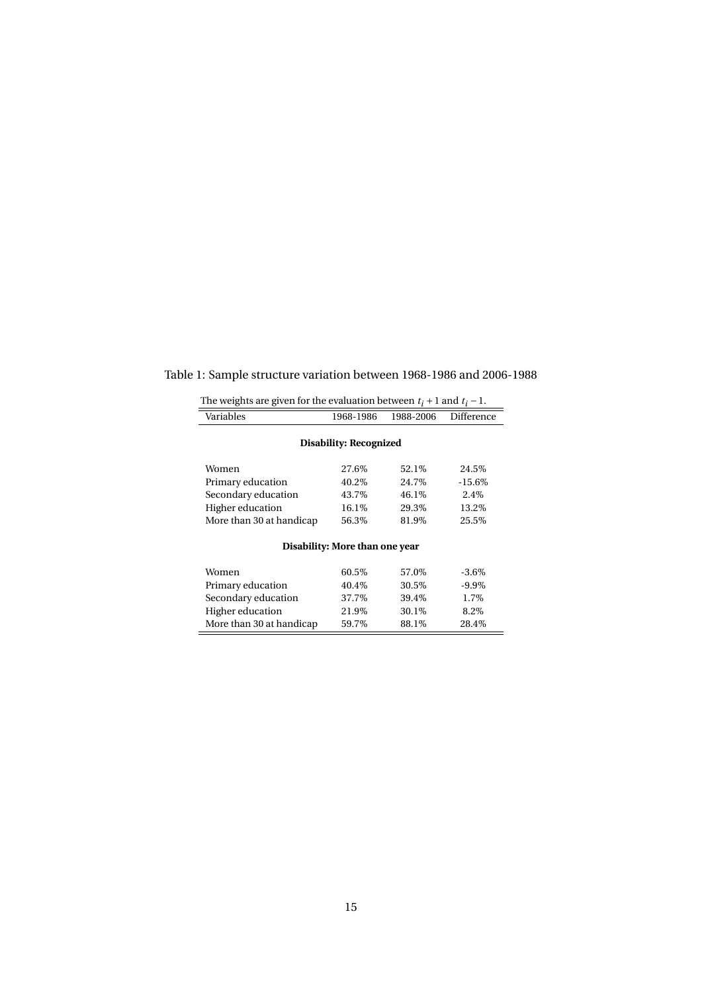## Table 1: Sample structure variation between 1968-1986 and 2006-1988

| The weights are given for the evaluation between $t_i + 1$ and $t_i - 1$ . |                                |           |            |
|----------------------------------------------------------------------------|--------------------------------|-----------|------------|
| Variables                                                                  | 1968-1986                      | 1988-2006 | Difference |
|                                                                            | <b>Disability: Recognized</b>  |           |            |
| Women                                                                      | 27.6%                          | 52.1%     | 24.5%      |
| Primary education                                                          | 40.2%                          | 24.7%     | $-15.6\%$  |
| Secondary education                                                        | 43.7%                          | 46.1%     | 2.4%       |
| Higher education                                                           | 16.1%                          | 29.3%     | 13.2%      |
| More than 30 at handicap                                                   | 56.3%                          | 81.9%     | 25.5%      |
|                                                                            | Disability: More than one year |           |            |
| Women                                                                      | 60.5%                          | 57.0%     | $-3.6\%$   |
| Primary education                                                          | 40.4%                          | 30.5%     | $-9.9\%$   |
| Secondary education                                                        | 37.7%                          | 39.4%     | 1.7%       |
| Higher education                                                           | 21.9%                          | 30.1%     | 8.2%       |
| More than 30 at handicap                                                   | 59.7%                          | 88.1%     | 28.4%      |

Ė

<span id="page-14-0"></span>

|  | The weights are given for the evaluation between $t_i + 1$ and $t_i - 1$ . |
|--|----------------------------------------------------------------------------|
|  |                                                                            |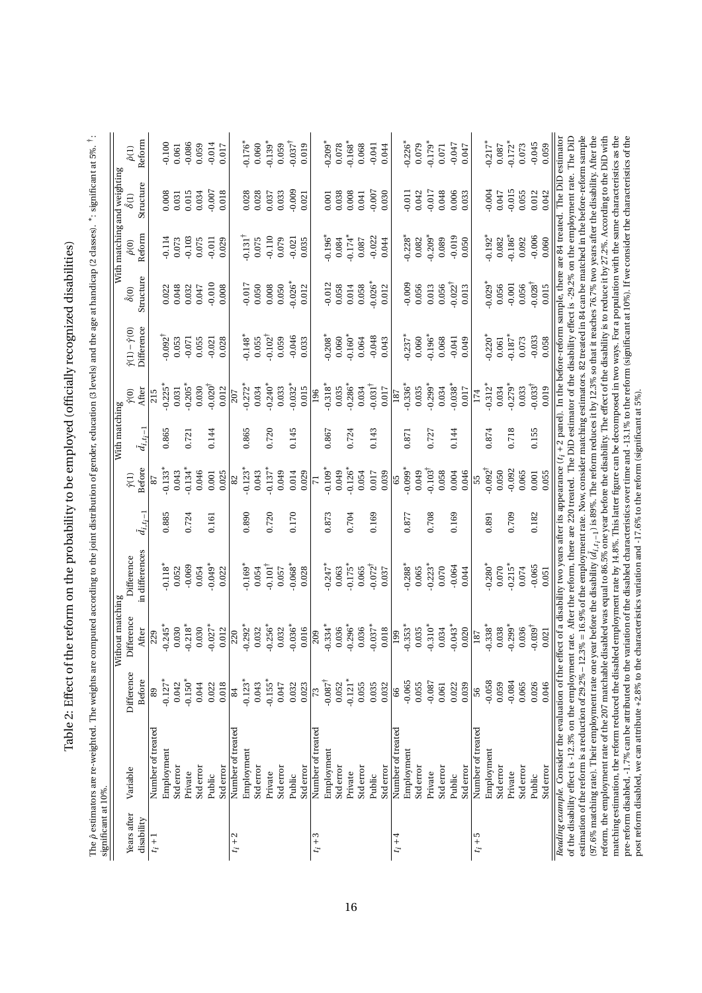| j                   |
|---------------------|
|                     |
| $\frac{1}{\zeta}$   |
| l                   |
|                     |
|                     |
| l<br>י<br>י         |
|                     |
|                     |
| ĭ<br>$\overline{1}$ |

| ł                                                                    |   |
|----------------------------------------------------------------------|---|
| ļ                                                                    |   |
|                                                                      |   |
|                                                                      |   |
| $\frac{1}{2}$                                                        |   |
|                                                                      |   |
|                                                                      |   |
|                                                                      |   |
|                                                                      |   |
|                                                                      |   |
| ¢<br>j                                                               |   |
|                                                                      |   |
|                                                                      |   |
| ţ                                                                    |   |
| j                                                                    |   |
|                                                                      |   |
|                                                                      |   |
|                                                                      |   |
|                                                                      |   |
| j                                                                    |   |
|                                                                      |   |
| ı                                                                    |   |
|                                                                      |   |
|                                                                      |   |
| j                                                                    |   |
| i<br>¢                                                               |   |
| l<br>l                                                               |   |
|                                                                      |   |
| i                                                                    |   |
| l                                                                    |   |
|                                                                      |   |
|                                                                      |   |
|                                                                      |   |
|                                                                      |   |
| $\overline{\phantom{a}}$                                             |   |
|                                                                      |   |
|                                                                      |   |
|                                                                      |   |
|                                                                      |   |
|                                                                      |   |
|                                                                      |   |
|                                                                      |   |
| ֺ֚                                                                   |   |
|                                                                      |   |
| l                                                                    |   |
| ֧֧֦֧ׅ֧ׅ֧ׅ֧֧ׅ֧ׅ֧֧֛֧֛֧֛֧֛֛֛֛֛֛֧֦֧֚֚֚֚֚֚֚֚֚֚֚֚֚֚֚֚֚֚֚֚֝֜֓֜֜֝֬֜֓֜֓֜֓֜֓֓֜ |   |
|                                                                      |   |
| į<br>i                                                               |   |
| i                                                                    |   |
|                                                                      |   |
|                                                                      |   |
|                                                                      |   |
| $\overline{a}$<br>j                                                  |   |
| ť                                                                    |   |
| i                                                                    |   |
| $\overline{\phantom{a}}$<br>i<br>;                                   |   |
| $\overline{ }$<br>¢<br>ì                                             |   |
| i<br>S                                                               |   |
|                                                                      |   |
| ١                                                                    |   |
|                                                                      |   |
|                                                                      |   |
| l                                                                    |   |
|                                                                      |   |
|                                                                      |   |
|                                                                      |   |
|                                                                      |   |
|                                                                      |   |
|                                                                      |   |
|                                                                      |   |
|                                                                      | ļ |
| i                                                                    |   |
|                                                                      |   |
| 1                                                                    |   |
|                                                                      |   |
|                                                                      |   |

<span id="page-15-0"></span>

| significant at 10%. |                                                                                                                                                                                                                                            |                       |                        |                                                                                                                                              |                       |                    |                     |                       |                                     |                       |                       |                             |                       |
|---------------------|--------------------------------------------------------------------------------------------------------------------------------------------------------------------------------------------------------------------------------------------|-----------------------|------------------------|----------------------------------------------------------------------------------------------------------------------------------------------|-----------------------|--------------------|---------------------|-----------------------|-------------------------------------|-----------------------|-----------------------|-----------------------------|-----------------------|
|                     |                                                                                                                                                                                                                                            |                       | lithout matching<br> ≶ |                                                                                                                                              |                       |                    | With matching       |                       |                                     |                       |                       | With matching and weighting |                       |
| Years after         | Variable                                                                                                                                                                                                                                   | Difference            | Difference             | Difference                                                                                                                                   |                       | $\hat{\gamma}(1)$  |                     | $\hat{Y}(0)$          | $\hat{\gamma}(1) - \hat{\gamma}(0)$ | $\hat{\delta}$ (0)    | $\hat{\rho}(0)$       | $\delta(1)$                 | $\hat{\rho}(1)$       |
| disability          |                                                                                                                                                                                                                                            | Before                | After                  | in differences                                                                                                                               | $\bar{d}_{i,t_{i}-1}$ | Before             | $\bar{d}_{i,t_i-1}$ | After                 | Difference                          | Structure             | Reform                | Structure                   | Reform                |
| $t_i+1$             | Number of treated                                                                                                                                                                                                                          | 89                    | 229                    |                                                                                                                                              |                       | 52                 |                     | 215                   |                                     |                       |                       |                             |                       |
|                     | Employment                                                                                                                                                                                                                                 | $-0.127$ <sup>*</sup> | $-0.245*$              | $-0.118*$                                                                                                                                    | 0.885                 | $-0.133*$          | 0.865               | $-0.225$ <sup>*</sup> | $0.092^+$                           | 0.022                 | $-0.114$              | 0.008                       | $-0.100$              |
|                     | Std error                                                                                                                                                                                                                                  | 0.042                 | 0.030                  | 0.052                                                                                                                                        |                       | 0.043              |                     | 0.031                 | 0.053                               | 0.048                 | 0.073                 | 0.031                       | 0.061                 |
|                     | Private                                                                                                                                                                                                                                    | $-0.150*$             | $-0.218$ <sup>*</sup>  | $-0.069$                                                                                                                                     | 0.724                 | $-0.134*$          | 0.721               | $-0.205$ <sup>*</sup> | $-0.071$                            | 0.032                 | $-0.103$              | 0.015                       | $-0.086$              |
|                     | Std error                                                                                                                                                                                                                                  | 0.044                 | 0.030                  | 0.054                                                                                                                                        |                       | 0.046              |                     | 0.030                 | 0.055                               | 0.047                 | 0.075                 | 0.034                       | 0.059                 |
|                     | Public                                                                                                                                                                                                                                     | 0.022                 | $-0.027*$              | $-0.049*$                                                                                                                                    | 0.161                 | 0.001              | 0.144               | $-0.020^{\dagger}$    | $-0.021$                            | $-0.010$              | $-0.011$              | $-0.007$                    | $-0.014$              |
|                     | Std error                                                                                                                                                                                                                                  | 0.018                 | 0.012                  | 0.022                                                                                                                                        |                       | 0.025              |                     | 0.012                 | 0.028                               | 0.008                 | 0.029                 | 0.018                       | 0.017                 |
| $t_i + 2$           | Number of treated                                                                                                                                                                                                                          | 84                    | 220                    |                                                                                                                                              |                       | 82                 |                     | 207                   |                                     |                       |                       |                             |                       |
|                     | Employment                                                                                                                                                                                                                                 | $-0.123*$             | $-0.292*$              | $-0.169*$                                                                                                                                    | 0.890                 | $-0.123*$          | 0.865               | $-0.272*$             | $0.148$ <sup>*</sup>                | $-0.017$              | $0.131^{\dagger}$     | 0.028                       | $-0.176*$             |
|                     | Std error                                                                                                                                                                                                                                  | 0.043                 | 0.032                  | 0.054                                                                                                                                        |                       | 0.043              |                     | 0.034                 | 0.055                               | 0.050                 | 0.075                 | 0.028                       | 0.060                 |
|                     | Private                                                                                                                                                                                                                                    | $-0.155*$             | $-0.256*$              | $-0.101^{\dagger}$                                                                                                                           | 0.720                 | $-0.137*$          | 0.720               | $0.240*$              | $-0.102^+$                          | 0.008                 | $-0.110$              | 0.037                       | $-0.139*$             |
|                     | Std error                                                                                                                                                                                                                                  | 0.047                 | 0.032                  | 0.057                                                                                                                                        |                       | 0.049              |                     | 0.033                 | 0.059                               | 0.050                 | 0.079                 | 0.033                       | 0.059                 |
|                     | Public                                                                                                                                                                                                                                     | 0.032                 | $-0.036*$              | $-0.068$ <sup>*</sup>                                                                                                                        | 0.170                 | 0.014              | 0.145               | $0.032*$              | $-0.046$                            | $-0.026$ <sup>*</sup> | $-0.021$              | $-0.009$                    | $-0.037^{\dagger}$    |
|                     | Std error                                                                                                                                                                                                                                  | 0.023                 | 0.016                  | 0.028                                                                                                                                        |                       | 0.029              |                     | 0.015                 | 0.033                               | 0.012                 | 0.035                 | 0.021                       | 0.019                 |
| 3<br>$t_i$ +        | Number of treated                                                                                                                                                                                                                          | 73                    | 209                    |                                                                                                                                              |                       | $\mathbf{z}$       |                     | 196                   |                                     |                       |                       |                             |                       |
|                     | Employment                                                                                                                                                                                                                                 | $-0.087$ <sup>†</sup> | $0.334*$               | $-0.247*$                                                                                                                                    | 0.873                 | $-0.109*$          | 0.867               | $-0.318*$             | $0.208*$                            | $-0.012$              | $-0.196$ <sup>*</sup> | 0.001                       | $-0.209*$             |
|                     | Std error                                                                                                                                                                                                                                  | 0.052                 | 0.036                  | 0.063                                                                                                                                        |                       | 0.049              |                     | 0.035                 | 0.060                               | 0.058                 | 0.084                 | 0.038                       | 0.078                 |
|                     | Private                                                                                                                                                                                                                                    | $-0.121$ <sup>*</sup> | $-0.296*$              | $-0.175*$                                                                                                                                    | 0.704                 | $-0.126*$          | 0.724               | $-0.286*$             | $0.160*$                            | 0.014                 | $-0.174*$             | 0.008                       | $-0.168$ <sup>*</sup> |
|                     | Std error                                                                                                                                                                                                                                  | 0.055                 | 0.036                  | 0.065                                                                                                                                        |                       | 0.054              |                     | 0.034                 | 0.064                               | 0.058                 | 0.087                 | 0.041                       | 0.068                 |
|                     | Public                                                                                                                                                                                                                                     | 0.035                 | $0.037*$               | $-0.072$ <sup>†</sup>                                                                                                                        | 0.169                 | 0.017              | 0.143               | $-0.031^{\dagger}$    | $-0.048$                            | $-0.026*$             | $-0.022$              | $-0.007$                    | $-0.041$              |
|                     | Std error                                                                                                                                                                                                                                  | 0.032                 | 0.018                  | 0.037                                                                                                                                        |                       | 0.039              |                     | 0.017                 | 0.043                               | 0.012                 | 0.044                 | 0.030                       | 0.044                 |
| $t_i + 4$           | Number of treated                                                                                                                                                                                                                          | 66                    | 199                    |                                                                                                                                              |                       | 59                 |                     | 187                   |                                     |                       |                       |                             |                       |
|                     | Employment                                                                                                                                                                                                                                 | $-0.065$              | $0.353*$               | $-0.288*$                                                                                                                                    | 0.877                 | $-0.099*$          | 0.871               | $-0.336*$             | $0.237*$                            | $-0.009$              | $-0.228$ <sup>*</sup> | $-0.011$                    | $-0.226$ <sup>*</sup> |
|                     | Std error                                                                                                                                                                                                                                  | 0.055                 | 0.035                  | 0.065                                                                                                                                        |                       | 0.049              |                     | 0.035                 | 0.060                               | 0.056                 | 0.082                 | 0.042                       | 0.079                 |
|                     | Private                                                                                                                                                                                                                                    | $-0.087$              | $-0.310*$              | $-0.223*$                                                                                                                                    | 0.708                 | $-0.103^{\dagger}$ | 0.727               | $-0.299*$             | $0.196*$                            | 0.013                 | $-0.209*$             | $-0.017$                    | $-0.179*$             |
|                     | Std error                                                                                                                                                                                                                                  | 0.061                 | 0.034                  | 0.070                                                                                                                                        |                       | 0.058              |                     | 0.034                 | 0.068                               | 0.056                 | 0.089                 | 0.048                       | 0.071                 |
|                     | Public                                                                                                                                                                                                                                     | 0.022                 | $0.043*$               | $-0.064$                                                                                                                                     | 0.169                 | 0.004              | 0.144               | $0.038$ <sup>*</sup>  | $-0.041$                            | $-0.022^{\dagger}$    | $-0.019$              | 0.006                       | $-0.047$              |
|                     | Std error                                                                                                                                                                                                                                  | 0.039                 | 0.020                  | 0.044                                                                                                                                        |                       | 0.046              |                     | 0.017                 | 0.049                               | 0.013                 | 0.050                 | 0.033                       | 0.047                 |
| $t_i + 5$           | Number of treated                                                                                                                                                                                                                          | 56                    | 187                    |                                                                                                                                              |                       | ပြ                 |                     | 174                   |                                     |                       |                       |                             |                       |
|                     | Employment                                                                                                                                                                                                                                 | $-0.058$              | $-0.338*$              | $-0.280*$                                                                                                                                    | 0.891                 | $-0.092^\dagger$   | 0.874               | $-0.312*$             | $0.220*$                            | $-0.029*$             | $-0.192*$             | $-0.004$                    | $-0.217*$             |
|                     | Std error                                                                                                                                                                                                                                  | 0.059                 | 0.038                  | 0.070                                                                                                                                        |                       | 0.050              |                     | 0.034                 | 0.061                               | 0.056                 | 0.082                 | 0.047                       | 0.087                 |
|                     | Private                                                                                                                                                                                                                                    | $-0.084$              | $0.299*$               | $-0.215*$                                                                                                                                    | 0.709                 | $-0.092$           | 0.718               | $-0.279*$             | $0.187*$                            | $-0.001$              | $-0.186*$             | $-0.015$                    | $-0.172*$             |
|                     | Std error                                                                                                                                                                                                                                  | 0.065                 | 0.036                  | 0.074                                                                                                                                        |                       | 0.065              |                     | 0.033                 | 0.073                               | 0.056                 | 0.092                 | 0.055                       | 0.073                 |
|                     | Public                                                                                                                                                                                                                                     | 0.026                 | $0.039^{\dagger}$      | $-0.065$                                                                                                                                     | 0.182                 | 0.001              | 0.155               | $-0.033^{\dagger}$    | $-0.033$                            | $-0.028^{\dagger}$    | $-0.006$              | 0.012                       | $-0.045$              |
|                     | Std error                                                                                                                                                                                                                                  | 0.046                 | 0.021                  | 0.051                                                                                                                                        |                       | 0.055              |                     | 0.019                 | 0.058                               | 0.015                 | 0.060                 | 0.042                       | 0.059                 |
|                     | Reading example. Consider the evaluation of the effect of a disability two years after its appearance $(t_i + 2$ panel). In the before-reform sample, there are 84 treated. The DiD estimator                                              |                       |                        |                                                                                                                                              |                       |                    |                     |                       |                                     |                       |                       |                             |                       |
|                     | of the disability effect is -12.3% on the employment rate. After the reform, there are 220 treated. The DiD estimator of the disability effect is -29.2% on the employment rate. The DiD                                                   |                       |                        |                                                                                                                                              |                       |                    |                     |                       |                                     |                       |                       |                             |                       |
|                     | estimation of the reform is a reduction of $29.2\%$ – $16.9\%$ of the employment rate. Now, consider matching estimators. 82 treated in 84 can be matched in the before-reform sample                                                      |                       |                        |                                                                                                                                              |                       |                    |                     |                       |                                     |                       |                       |                             |                       |
|                     | (97.6% matching rate). Their employment rate one year before the disability $(\dot{d}_{i,\,l_{i}-1})$ is 89%. The reform reduces it by 12.3% so that it reaches 76.7% two years after the disability. After the                            |                       |                        |                                                                                                                                              |                       |                    |                     |                       |                                     |                       |                       |                             |                       |
|                     | matching estimation, the reform reduced the disabled employment rate by 14.8%. This latter figure can be decomposed in two ways. For a population with the same characteristics as the<br>reform, the employment rate of the 207 matchable |                       |                        | disabled was equal to 86.5% one year before the disability. The effect of the disability is to reduce it by 27.2%. According to the DiD with |                       |                    |                     |                       |                                     |                       |                       |                             |                       |
|                     | pre-reform disabled, -1.7% can be attributed to the                                                                                                                                                                                        |                       |                        | variation of the disabled characteristics over time and -13.1% to the reform (significant at 10%). If we consider the characteristics of the |                       |                    |                     |                       |                                     |                       |                       |                             |                       |
|                     | post reform disabled, we can attribute +2.8% to the characteristics variation and -17.6% to the reform (significant at 5%).                                                                                                                |                       |                        |                                                                                                                                              |                       |                    |                     |                       |                                     |                       |                       |                             |                       |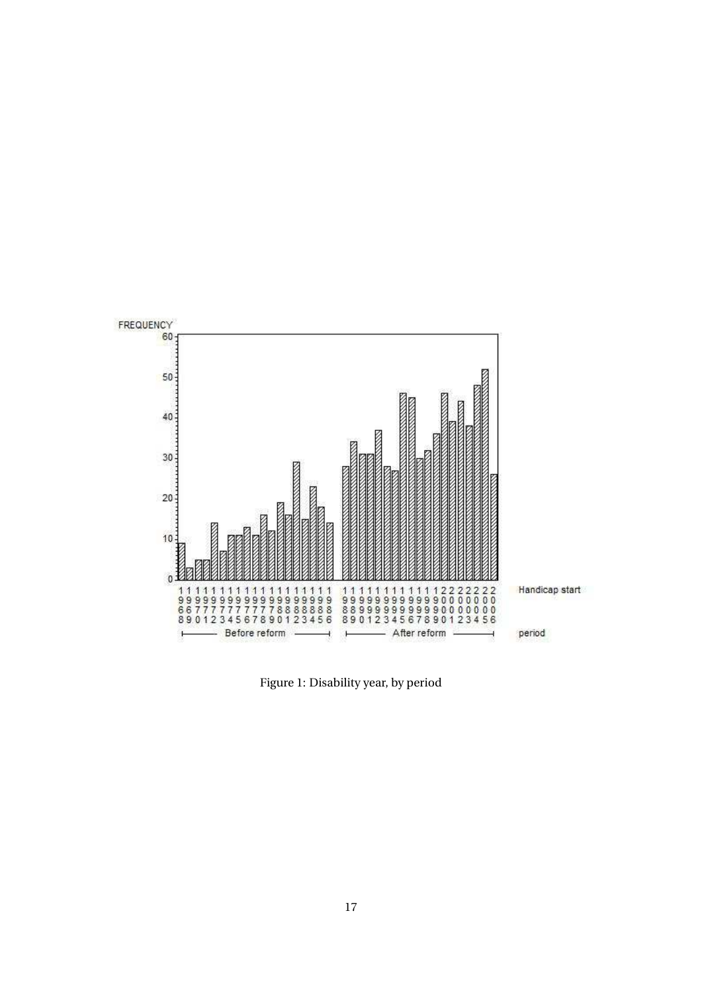

Figure 1: Disability year, by period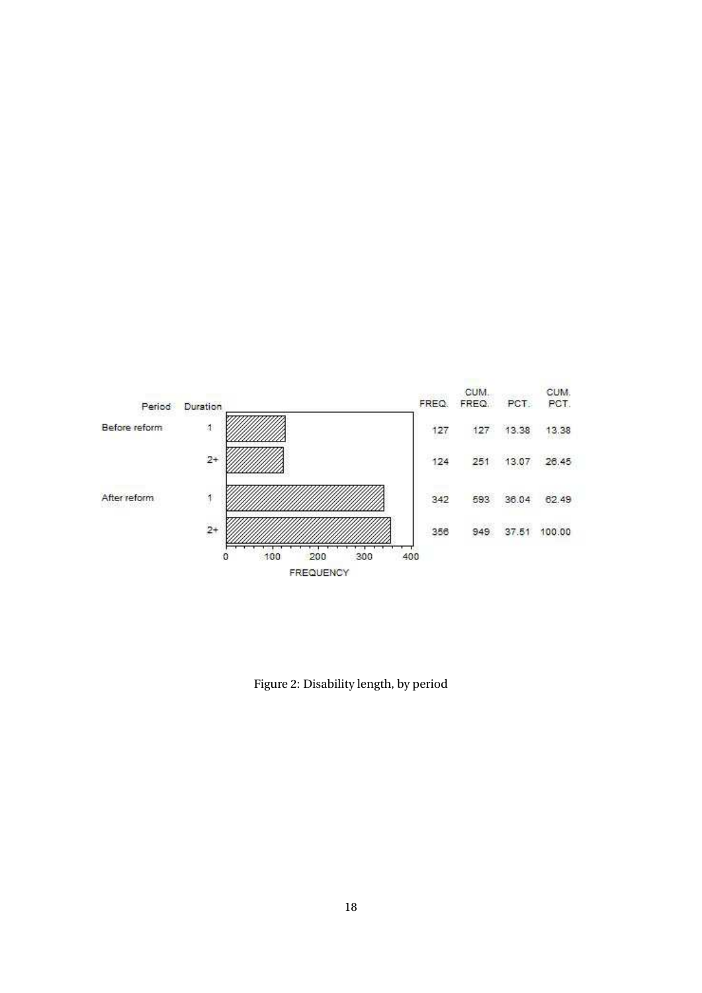

Figure 2: Disability length, by period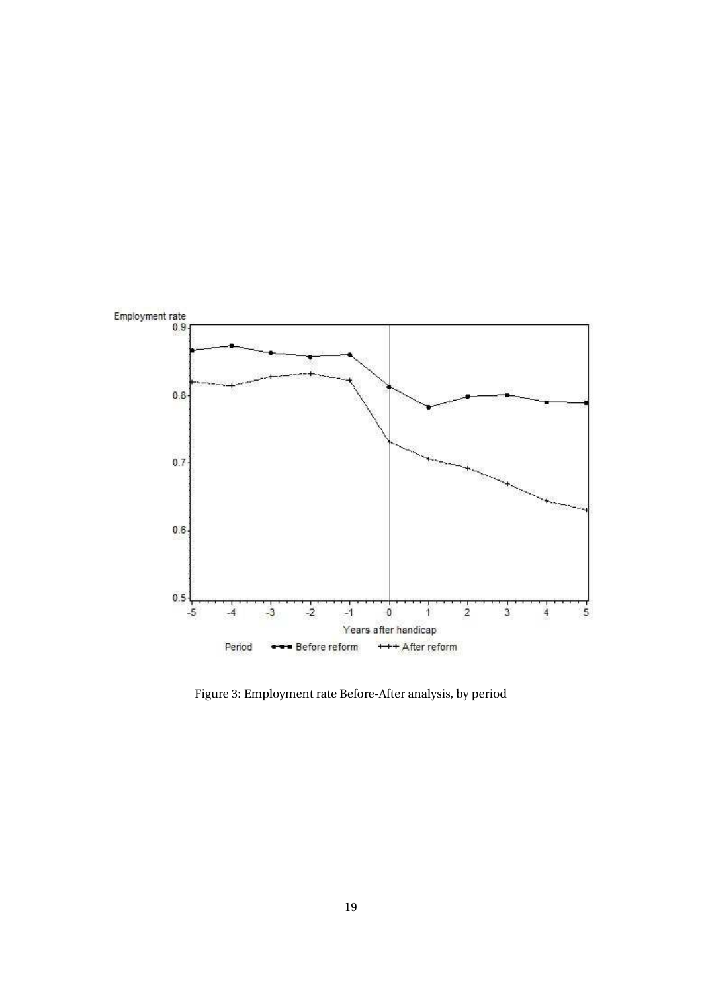

Figure 3: Employment rate Before-After analysis, by period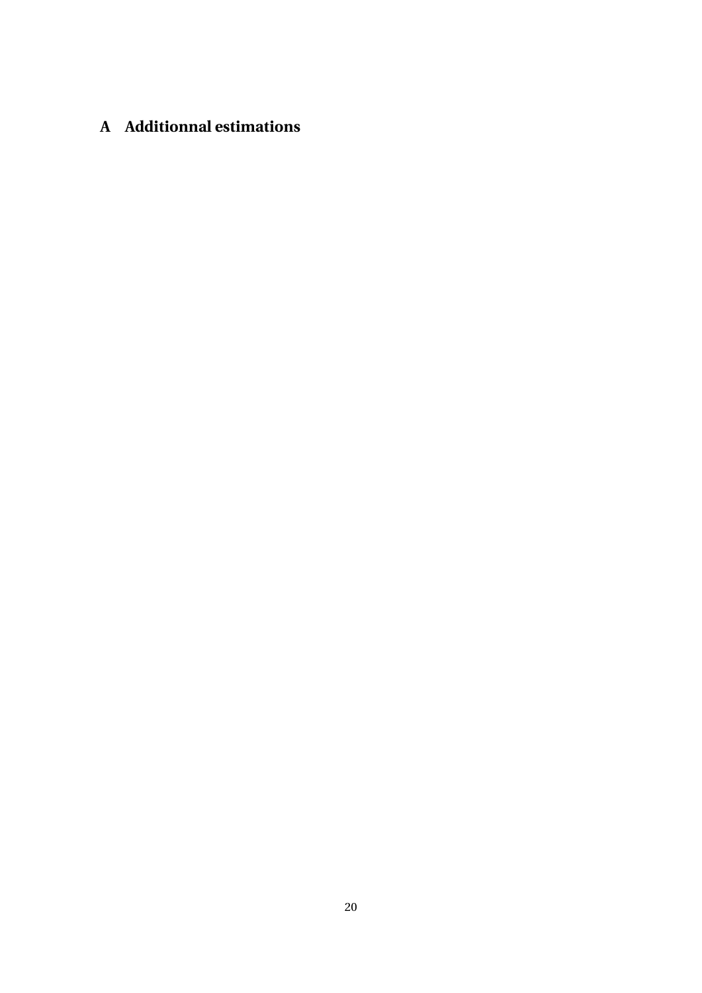# **A Additionnal estimations**